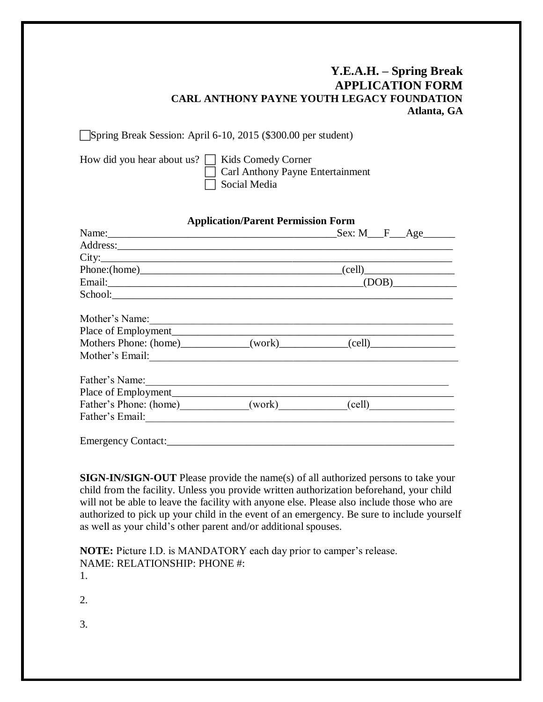# **Y.E.A.H. – Spring Break APPLICATION FORM CARL ANTHONY PAYNE YOUTH LEGACY FOUNDATION Atlanta, GA**

Spring Break Session: April 6-10, 2015 (\$300.00 per student)

| How did you hear about us? $\Box$ Kids Comedy Corner |                                         |
|------------------------------------------------------|-----------------------------------------|
|                                                      | $\Box$ Carl Anthony Payne Entertainment |
|                                                      | $\Box$ Social Media                     |

| <b>Application/Parent Permission Form</b> |  |                                                                                   |
|-------------------------------------------|--|-----------------------------------------------------------------------------------|
|                                           |  |                                                                                   |
|                                           |  |                                                                                   |
|                                           |  | City:                                                                             |
|                                           |  | $Phone: (home)$ (cell)                                                            |
|                                           |  |                                                                                   |
| School: <u>School:</u>                    |  |                                                                                   |
| Mother's Name: 1988                       |  |                                                                                   |
| Place of Employment                       |  |                                                                                   |
|                                           |  | Mothers Phone: (home)____________(work)___________(cell)_________________________ |
|                                           |  |                                                                                   |
|                                           |  |                                                                                   |
|                                           |  |                                                                                   |
|                                           |  | Father's Phone: (home) ______________(work) ____________(cell) __________________ |
|                                           |  |                                                                                   |
|                                           |  |                                                                                   |

**SIGN-IN/SIGN-OUT** Please provide the name(s) of all authorized persons to take your child from the facility. Unless you provide written authorization beforehand, your child will not be able to leave the facility with anyone else. Please also include those who are authorized to pick up your child in the event of an emergency. Be sure to include yourself as well as your child's other parent and/or additional spouses.

**NOTE:** Picture I.D. is MANDATORY each day prior to camper's release. NAME: RELATIONSHIP: PHONE #: 1.

2.

3.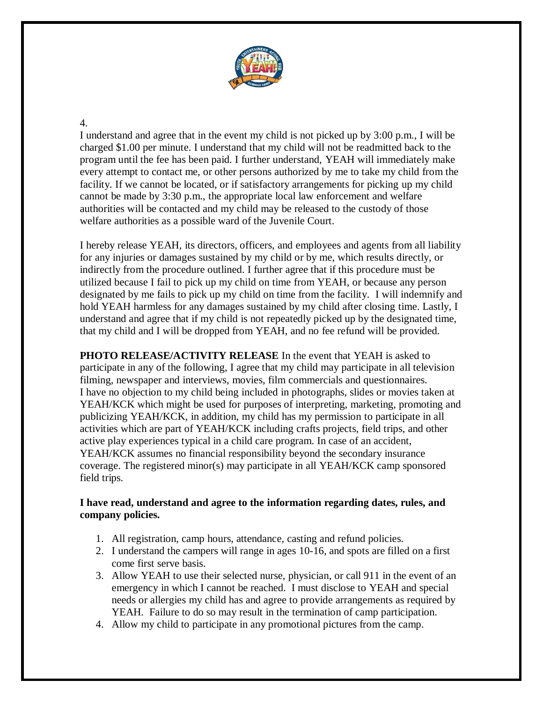

#### 4.

I understand and agree that in the event my child is not picked up by 3:00 p.m., I will be charged \$1.00 per minute. I understand that my child will not be readmitted back to the program until the fee has been paid. I further understand, YEAH will immediately make every attempt to contact me, or other persons authorized by me to take my child from the facility. If we cannot be located, or if satisfactory arrangements for picking up my child cannot be made by 3:30 p.m., the appropriate local law enforcement and welfare authorities will be contacted and my child may be released to the custody of those welfare authorities as a possible ward of the Juvenile Court.

I hereby release YEAH, its directors, officers, and employees and agents from all liability for any injuries or damages sustained by my child or by me, which results directly, or indirectly from the procedure outlined. I further agree that if this procedure must be utilized because I fail to pick up my child on time from YEAH, or because any person designated by me fails to pick up my child on time from the facility. I will indemnify and hold YEAH harmless for any damages sustained by my child after closing time. Lastly, I understand and agree that if my child is not repeatedly picked up by the designated time, that my child and I will be dropped from YEAH, and no fee refund will be provided.

**PHOTO RELEASE/ACTIVITY RELEASE** In the event that YEAH is asked to participate in any of the following, I agree that my child may participate in all television filming, newspaper and interviews, movies, film commercials and questionnaires. I have no objection to my child being included in photographs, slides or movies taken at YEAH/KCK which might be used for purposes of interpreting, marketing, promoting and publicizing YEAH/KCK, in addition, my child has my permission to participate in all activities which are part of YEAH/KCK including crafts projects, field trips, and other active play experiences typical in a child care program. In case of an accident, YEAH/KCK assumes no financial responsibility beyond the secondary insurance coverage. The registered minor(s) may participate in all YEAH/KCK camp sponsored field trips.

#### **I have read, understand and agree to the information regarding dates, rules, and company policies.**

- 1. All registration, camp hours, attendance, casting and refund policies.
- 2. I understand the campers will range in ages 10-16, and spots are filled on a first come first serve basis.
- 3. Allow YEAH to use their selected nurse, physician, or call 911 in the event of an emergency in which I cannot be reached. I must disclose to YEAH and special needs or allergies my child has and agree to provide arrangements as required by YEAH. Failure to do so may result in the termination of camp participation.
- 4. Allow my child to participate in any promotional pictures from the camp.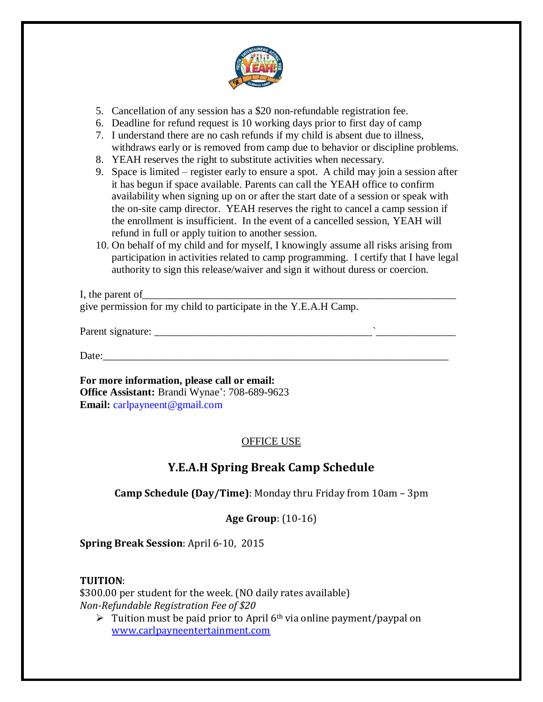

- 5. Cancellation of any session has a \$20 non-refundable registration fee.
- 6. Deadline for refund request is 10 working days prior to first day of camp
- 7. I understand there are no cash refunds if my child is absent due to illness, withdraws early or is removed from camp due to behavior or discipline problems.
- 8. YEAH reserves the right to substitute activities when necessary.
- 9. Space is limited register early to ensure a spot. A child may join a session after it has begun if space available. Parents can call the YEAH office to confirm availability when signing up on or after the start date of a session or speak with the on-site camp director. YEAH reserves the right to cancel a camp session if the enrollment is insufficient. In the event of a cancelled session, YEAH will refund in full or apply tuition to another session.
- 10. On behalf of my child and for myself, I knowingly assume all risks arising from participation in activities related to camp programming. I certify that I have legal authority to sign this release/waiver and sign it without duress or coercion.

I, the parent of give permission for my child to participate in the Y.E.A.H Camp.

Parent signature: \_\_\_\_\_\_\_\_\_\_\_\_\_\_\_\_\_\_\_\_\_\_\_\_\_\_\_\_\_\_\_\_\_\_\_\_\_\_\_\_\_`\_\_\_\_\_\_\_\_\_\_\_\_\_\_\_

Date:\_\_\_\_\_\_\_\_\_\_\_\_\_\_\_\_\_\_\_\_\_\_\_\_\_\_\_\_\_\_\_\_\_\_\_\_\_\_\_\_\_\_\_\_\_\_\_\_\_\_\_\_\_\_\_\_\_\_\_\_\_\_\_\_\_

**For more information, please call or email: Office Assistant:** Brandi Wynae': 708-689-9623 **Email:** carlpayneent@gmail.com

# OFFICE USE

# **Y.E.A.H Spring Break Camp Schedule**

**Camp Schedule (Day/Time)**: Monday thru Friday from 10am – 3pm

## **Age Group**: (10-16)

**Spring Break Session**: April 6-10, 2015

## **TUITION**:

\$300.00 per student for the week. (NO daily rates available) *Non-Refundable Registration Fee of \$20*

Tuition must be paid prior to April  $6<sup>th</sup>$  via online payment/paypal on [www.carlpayneentertainment.com](http://www.carlpayneentertainment.com/)